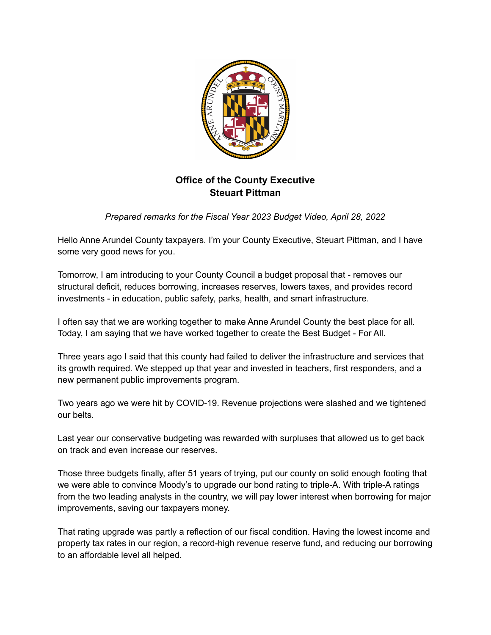

# **Office of the County Executive Steuart Pittman**

*Prepared remarks for the Fiscal Year 2023 Budget Video, April 28, 2022*

Hello Anne Arundel County taxpayers. I'm your County Executive, Steuart Pittman, and I have some very good news for you.

Tomorrow, I am introducing to your County Council a budget proposal that - removes our structural deficit, reduces borrowing, increases reserves, lowers taxes, and provides record investments - in education, public safety, parks, health, and smart infrastructure.

I often say that we are working together to make Anne Arundel County the best place for all. Today, I am saying that we have worked together to create the Best Budget - For All.

Three years ago I said that this county had failed to deliver the infrastructure and services that its growth required. We stepped up that year and invested in teachers, first responders, and a new permanent public improvements program.

Two years ago we were hit by COVID-19. Revenue projections were slashed and we tightened our belts.

Last year our conservative budgeting was rewarded with surpluses that allowed us to get back on track and even increase our reserves.

Those three budgets finally, after 51 years of trying, put our county on solid enough footing that we were able to convince Moody's to upgrade our bond rating to triple-A. With triple-A ratings from the two leading analysts in the country, we will pay lower interest when borrowing for major improvements, saving our taxpayers money.

That rating upgrade was partly a reflection of our fiscal condition. Having the lowest income and property tax rates in our region, a record-high revenue reserve fund, and reducing our borrowing to an affordable level all helped.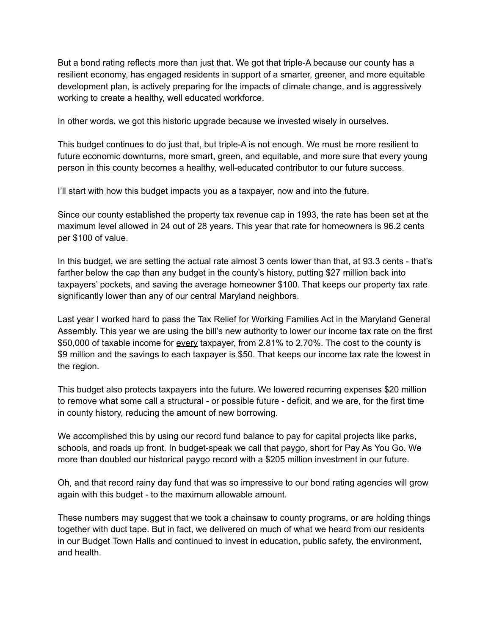But a bond rating reflects more than just that. We got that triple-A because our county has a resilient economy, has engaged residents in support of a smarter, greener, and more equitable development plan, is actively preparing for the impacts of climate change, and is aggressively working to create a healthy, well educated workforce.

In other words, we got this historic upgrade because we invested wisely in ourselves.

This budget continues to do just that, but triple-A is not enough. We must be more resilient to future economic downturns, more smart, green, and equitable, and more sure that every young person in this county becomes a healthy, well-educated contributor to our future success.

I'll start with how this budget impacts you as a taxpayer, now and into the future.

Since our county established the property tax revenue cap in 1993, the rate has been set at the maximum level allowed in 24 out of 28 years. This year that rate for homeowners is 96.2 cents per \$100 of value.

In this budget, we are setting the actual rate almost 3 cents lower than that, at 93.3 cents - that's farther below the cap than any budget in the county's history, putting \$27 million back into taxpayers' pockets, and saving the average homeowner \$100. That keeps our property tax rate significantly lower than any of our central Maryland neighbors.

Last year I worked hard to pass the Tax Relief for Working Families Act in the Maryland General Assembly. This year we are using the bill's new authority to lower our income tax rate on the first \$50,000 of taxable income for every taxpayer, from 2.81% to 2.70%. The cost to the county is \$9 million and the savings to each taxpayer is \$50. That keeps our income tax rate the lowest in the region.

This budget also protects taxpayers into the future. We lowered recurring expenses \$20 million to remove what some call a structural - or possible future - deficit, and we are, for the first time in county history, reducing the amount of new borrowing.

We accomplished this by using our record fund balance to pay for capital projects like parks, schools, and roads up front. In budget-speak we call that paygo, short for Pay As You Go. We more than doubled our historical paygo record with a \$205 million investment in our future.

Oh, and that record rainy day fund that was so impressive to our bond rating agencies will grow again with this budget - to the maximum allowable amount.

These numbers may suggest that we took a chainsaw to county programs, or are holding things together with duct tape. But in fact, we delivered on much of what we heard from our residents in our Budget Town Halls and continued to invest in education, public safety, the environment, and health.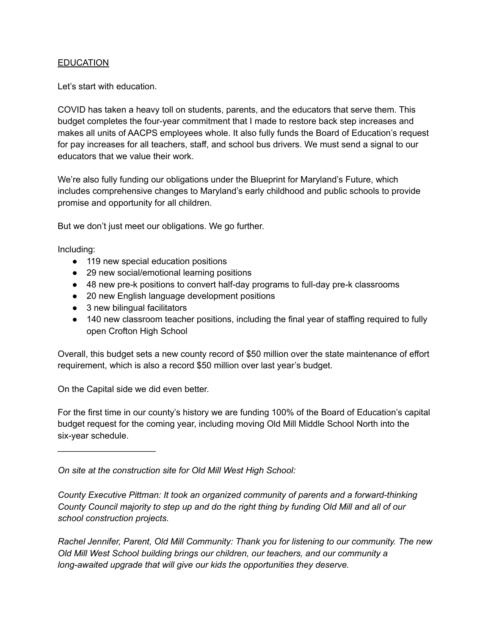### **EDUCATION**

Let's start with education.

COVID has taken a heavy toll on students, parents, and the educators that serve them. This budget completes the four-year commitment that I made to restore back step increases and makes all units of AACPS employees whole. It also fully funds the Board of Education's request for pay increases for all teachers, staff, and school bus drivers. We must send a signal to our educators that we value their work.

We're also fully funding our obligations under the Blueprint for Maryland's Future, which includes comprehensive changes to Maryland's early childhood and public schools to provide promise and opportunity for all children.

But we don't just meet our obligations. We go further.

Including:

- 119 new special education positions
- 29 new social/emotional learning positions
- 48 new pre-k positions to convert half-day programs to full-day pre-k classrooms
- 20 new English language development positions
- 3 new bilingual facilitators
- 140 new classroom teacher positions, including the final year of staffing required to fully open Crofton High School

Overall, this budget sets a new county record of \$50 million over the state maintenance of effort requirement, which is also a record \$50 million over last year's budget.

On the Capital side we did even better.

 $\overline{\phantom{a}}$  , which is a set of the set of the set of the set of the set of the set of the set of the set of the set of the set of the set of the set of the set of the set of the set of the set of the set of the set of th

For the first time in our county's history we are funding 100% of the Board of Education's capital budget request for the coming year, including moving Old Mill Middle School North into the six-year schedule.

*On site at the construction site for Old Mill West High School:*

*County Executive Pittman: It took an organized community of parents and a forward-thinking* County Council majority to step up and do the right thing by funding Old Mill and all of our *school construction projects.*

*Rachel Jennifer, Parent, Old Mill Community: Thank you for listening to our community. The new Old Mill West School building brings our children, our teachers, and our community a long-awaited upgrade that will give our kids the opportunities they deserve.*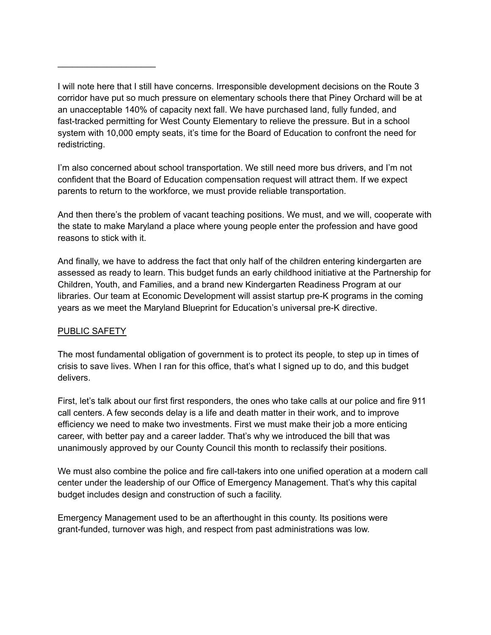I'm also concerned about school transportation. We still need more bus drivers, and I'm not confident that the Board of Education compensation request will attract them. If we expect parents to return to the workforce, we must provide reliable transportation.

And then there's the problem of vacant teaching positions. We must, and we will, cooperate with the state to make Maryland a place where young people enter the profession and have good reasons to stick with it.

And finally, we have to address the fact that only half of the children entering kindergarten are assessed as ready to learn. This budget funds an early childhood initiative at the Partnership for Children, Youth, and Families, and a brand new Kindergarten Readiness Program at our libraries. Our team at Economic Development will assist startup pre-K programs in the coming years as we meet the Maryland Blueprint for Education's universal pre-K directive.

# PUBLIC SAFETY

\_\_\_\_\_\_\_\_\_\_\_\_\_\_\_\_\_\_\_\_

The most fundamental obligation of government is to protect its people, to step up in times of crisis to save lives. When I ran for this office, that's what I signed up to do, and this budget delivers.

First, let's talk about our first first responders, the ones who take calls at our police and fire 911 call centers. A few seconds delay is a life and death matter in their work, and to improve efficiency we need to make two investments. First we must make their job a more enticing career, with better pay and a career ladder. That's why we introduced the bill that was unanimously approved by our County Council this month to reclassify their positions.

We must also combine the police and fire call-takers into one unified operation at a modern call center under the leadership of our Office of Emergency Management. That's why this capital budget includes design and construction of such a facility.

Emergency Management used to be an afterthought in this county. Its positions were grant-funded, turnover was high, and respect from past administrations was low.

I will note here that I still have concerns. Irresponsible development decisions on the Route 3 corridor have put so much pressure on elementary schools there that Piney Orchard will be at an unacceptable 140% of capacity next fall. We have purchased land, fully funded, and fast-tracked permitting for West County Elementary to relieve the pressure. But in a school system with 10,000 empty seats, it's time for the Board of Education to confront the need for redistricting.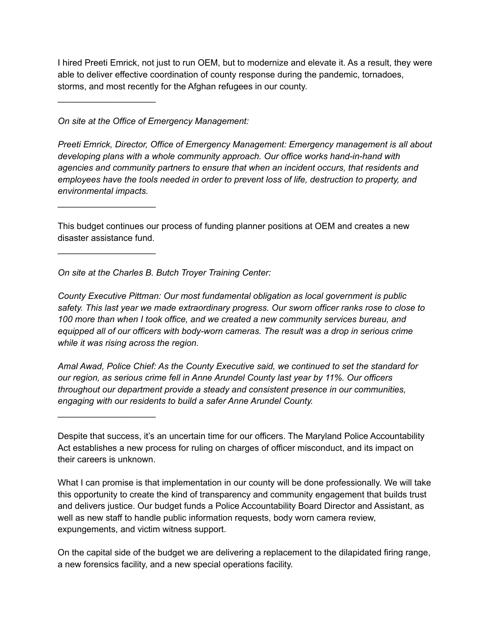I hired Preeti Emrick, not just to run OEM, but to modernize and elevate it. As a result, they were able to deliver effective coordination of county response during the pandemic, tornadoes, storms, and most recently for the Afghan refugees in our county.

*On site at the Office of Emergency Management:*

 $\overline{\phantom{a}}$  , which is a set of the set of the set of the set of the set of the set of the set of the set of the set of the set of the set of the set of the set of the set of the set of the set of the set of the set of th

 $\overline{\phantom{a}}$  , which is a set of the set of the set of the set of the set of the set of the set of the set of the set of the set of the set of the set of the set of the set of the set of the set of the set of the set of th

 $\overline{\phantom{a}}$  , which is a set of the set of the set of the set of the set of the set of the set of the set of the set of the set of the set of the set of the set of the set of the set of the set of the set of the set of th

 $\overline{\phantom{a}}$  , which is a set of the set of the set of the set of the set of the set of the set of the set of the set of the set of the set of the set of the set of the set of the set of the set of the set of the set of th

*Preeti Emrick, Director, Office of Emergency Management: Emergency management is all about developing plans with a whole community approach. Our office works hand-in-hand with agencies and community partners to ensure that when an incident occurs, that residents and employees have the tools needed in order to prevent loss of life, destruction to property, and environmental impacts.*

This budget continues our process of funding planner positions at OEM and creates a new disaster assistance fund.

*On site at the Charles B. Butch Troyer Training Center:*

*County Executive Pittman: Our most fundamental obligation as local government is public safety. This last year we made extraordinary progress. Our sworn officer ranks rose to close to 100 more than when I took office, and we created a new community services bureau, and equipped all of our officers with body-worn cameras. The result was a drop in serious crime while it was rising across the region.*

*Amal Awad, Police Chief: As the County Executive said, we continued to set the standard for our region, as serious crime fell in Anne Arundel County last year by 11%. Our officers throughout our department provide a steady and consistent presence in our communities, engaging with our residents to build a safer Anne Arundel County.*

What I can promise is that implementation in our county will be done professionally. We will take this opportunity to create the kind of transparency and community engagement that builds trust and delivers justice. Our budget funds a Police Accountability Board Director and Assistant, as well as new staff to handle public information requests, body worn camera review, expungements, and victim witness support.

On the capital side of the budget we are delivering a replacement to the dilapidated firing range, a new forensics facility, and a new special operations facility.

Despite that success, it's an uncertain time for our officers. The Maryland Police Accountability Act establishes a new process for ruling on charges of officer misconduct, and its impact on their careers is unknown.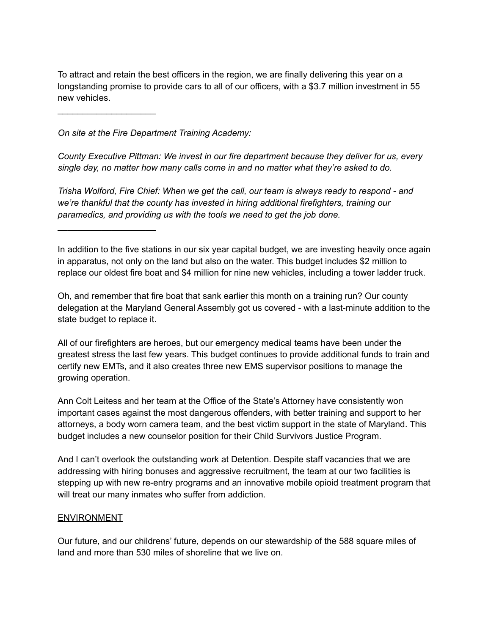To attract and retain the best officers in the region, we are finally delivering this year on a longstanding promise to provide cars to all of our officers, with a \$3.7 million investment in 55 new vehicles.

*On site at the Fire Department Training Academy:*

\_\_\_\_\_\_\_\_\_\_\_\_\_\_\_\_\_\_\_\_

\_\_\_\_\_\_\_\_\_\_\_\_\_\_\_\_\_\_\_\_

*County Executive Pittman: We invest in our fire department because they deliver for us, every single day, no matter how many calls come in and no matter what they're asked to do.*

*Trisha Wolford, Fire Chief: When we get the call, our team is always ready to respond - and we're thankful that the county has invested in hiring additional firefighters, training our paramedics, and providing us with the tools we need to get the job done.*

In addition to the five stations in our six year capital budget, we are investing heavily once again in apparatus, not only on the land but also on the water. This budget includes \$2 million to replace our oldest fire boat and \$4 million for nine new vehicles, including a tower ladder truck.

Oh, and remember that fire boat that sank earlier this month on a training run? Our county delegation at the Maryland General Assembly got us covered - with a last-minute addition to the state budget to replace it.

All of our firefighters are heroes, but our emergency medical teams have been under the greatest stress the last few years. This budget continues to provide additional funds to train and certify new EMTs, and it also creates three new EMS supervisor positions to manage the growing operation.

Ann Colt Leitess and her team at the Office of the State's Attorney have consistently won important cases against the most dangerous offenders, with better training and support to her attorneys, a body worn camera team, and the best victim support in the state of Maryland. This budget includes a new counselor position for their Child Survivors Justice Program.

And I can't overlook the outstanding work at Detention. Despite staff vacancies that we are addressing with hiring bonuses and aggressive recruitment, the team at our two facilities is stepping up with new re-entry programs and an innovative mobile opioid treatment program that will treat our many inmates who suffer from addiction.

#### **ENVIRONMENT**

Our future, and our childrens' future, depends on our stewardship of the 588 square miles of land and more than 530 miles of shoreline that we live on.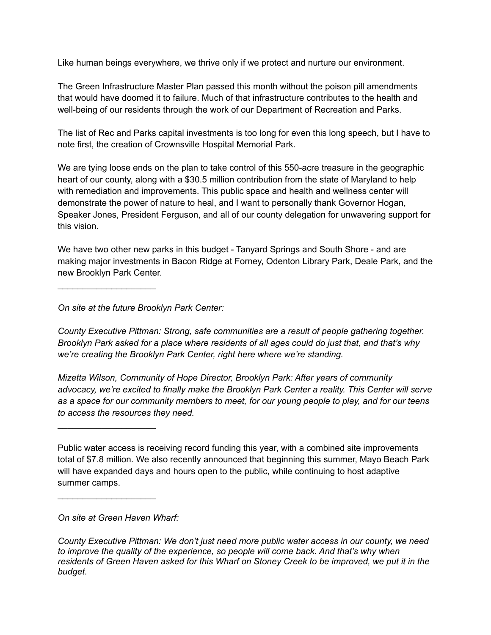Like human beings everywhere, we thrive only if we protect and nurture our environment.

The Green Infrastructure Master Plan passed this month without the poison pill amendments that would have doomed it to failure. Much of that infrastructure contributes to the health and well-being of our residents through the work of our Department of Recreation and Parks.

The list of Rec and Parks capital investments is too long for even this long speech, but I have to note first, the creation of Crownsville Hospital Memorial Park.

We are tying loose ends on the plan to take control of this 550-acre treasure in the geographic heart of our county, along with a \$30.5 million contribution from the state of Maryland to help with remediation and improvements. This public space and health and wellness center will demonstrate the power of nature to heal, and I want to personally thank Governor Hogan, Speaker Jones, President Ferguson, and all of our county delegation for unwavering support for this vision.

We have two other new parks in this budget - Tanyard Springs and South Shore - and are making major investments in Bacon Ridge at Forney, Odenton Library Park, Deale Park, and the new Brooklyn Park Center.

*On site at the future Brooklyn Park Center:*

\_\_\_\_\_\_\_\_\_\_\_\_\_\_\_\_\_\_\_\_

 $\overline{\phantom{a}}$  , which is a set of the set of the set of the set of the set of the set of the set of the set of the set of the set of the set of the set of the set of the set of the set of the set of the set of the set of th

\_\_\_\_\_\_\_\_\_\_\_\_\_\_\_\_\_\_\_\_

*County Executive Pittman: Strong, safe communities are a result of people gathering together. Brooklyn Park asked for a place where residents of all ages could do just that, and that's why we're creating the Brooklyn Park Center, right here where we're standing.*

*Mizetta Wilson, Community of Hope Director, Brooklyn Park: After years of community advocacy, we're excited to finally make the Brooklyn Park Center a reality. This Center will serve* as a space for our community members to meet, for our young people to play, and for our teens *to access the resources they need.*

*On site at Green Haven Wharf:*

Public water access is receiving record funding this year, with a combined site improvements total of \$7.8 million. We also recently announced that beginning this summer, Mayo Beach Park will have expanded days and hours open to the public, while continuing to host adaptive summer camps.

*County Executive Pittman: We don't just need more public water access in our county, we need to improve the quality of the experience, so people will come back. And that's why when* residents of Green Haven asked for this Wharf on Stoney Creek to be improved, we put it in the *budget.*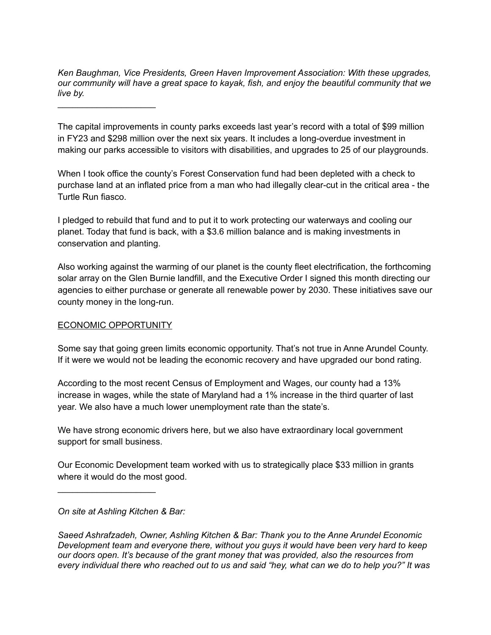*Ken Baughman, Vice Presidents, Green Haven Improvement Association: With these upgrades, our community will have a great space to kayak, fish, and enjoy the beautiful community that we live by.*

 $\overline{\phantom{a}}$  , which is a set of the set of the set of the set of the set of the set of the set of the set of the set of the set of the set of the set of the set of the set of the set of the set of the set of the set of th

The capital improvements in county parks exceeds last year's record with a total of \$99 million in FY23 and \$298 million over the next six years. It includes a long-overdue investment in making our parks accessible to visitors with disabilities, and upgrades to 25 of our playgrounds.

When I took office the county's Forest Conservation fund had been depleted with a check to purchase land at an inflated price from a man who had illegally clear-cut in the critical area - the Turtle Run fiasco.

I pledged to rebuild that fund and to put it to work protecting our waterways and cooling our planet. Today that fund is back, with a \$3.6 million balance and is making investments in conservation and planting.

Also working against the warming of our planet is the county fleet electrification, the forthcoming solar array on the Glen Burnie landfill, and the Executive Order I signed this month directing our agencies to either purchase or generate all renewable power by 2030. These initiatives save our county money in the long-run.

# ECONOMIC OPPORTUNITY

Some say that going green limits economic opportunity. That's not true in Anne Arundel County. If it were we would not be leading the economic recovery and have upgraded our bond rating.

According to the most recent Census of Employment and Wages, our county had a 13% increase in wages, while the state of Maryland had a 1% increase in the third quarter of last year. We also have a much lower unemployment rate than the state's.

We have strong economic drivers here, but we also have extraordinary local government support for small business.

Our Economic Development team worked with us to strategically place \$33 million in grants where it would do the most good.

*On site at Ashling Kitchen & Bar:*

\_\_\_\_\_\_\_\_\_\_\_\_\_\_\_\_\_\_\_\_

*Saeed Ashrafzadeh, Owner, Ashling Kitchen & Bar: Thank you to the Anne Arundel Economic Development team and everyone there, without you guys it would have been very hard to keep our doors open. It's because of the grant money that was provided, also the resources from* every individual there who reached out to us and said "hey, what can we do to help you?" It was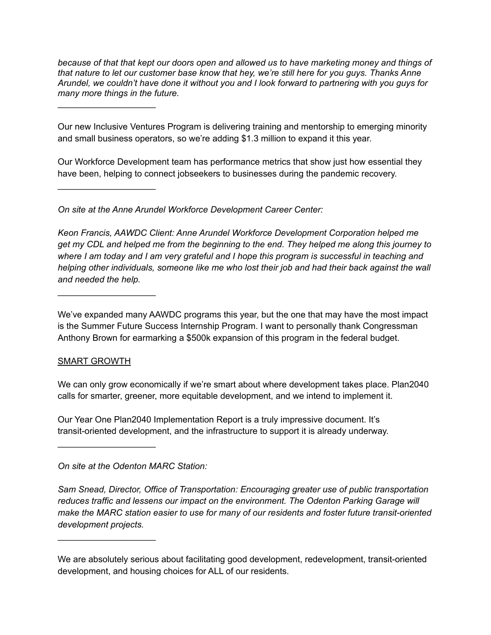*because of that that kept our doors open and allowed us to have marketing money and things of that nature to let our customer base know that hey, we're still here for you guys. Thanks Anne Arundel, we couldn't have done it without you and I look forward to partnering with you guys for many more things in the future.*

 $\overline{\phantom{a}}$  , which is a set of the set of the set of the set of the set of the set of the set of the set of the set of the set of the set of the set of the set of the set of the set of the set of the set of the set of th

 $\overline{\phantom{a}}$  , which is a set of the set of the set of the set of the set of the set of the set of the set of the set of the set of the set of the set of the set of the set of the set of the set of the set of the set of th

\_\_\_\_\_\_\_\_\_\_\_\_\_\_\_\_\_\_\_\_

Our new Inclusive Ventures Program is delivering training and mentorship to emerging minority and small business operators, so we're adding \$1.3 million to expand it this year.

Our Workforce Development team has performance metrics that show just how essential they have been, helping to connect jobseekers to businesses during the pandemic recovery.

*On site at the Anne Arundel Workforce Development Career Center:*

*Keon Francis, AAWDC Client: Anne Arundel Workforce Development Corporation helped me* get my CDL and helped me from the beginning to the end. They helped me along this journey to where I am today and I am very grateful and I hope this program is successful in teaching and *helping other individuals, someone like me who lost their job and had their back against the wall and needed the help.*

We've expanded many AAWDC programs this year, but the one that may have the most impact is the Summer Future Success Internship Program. I want to personally thank Congressman Anthony Brown for earmarking a \$500k expansion of this program in the federal budget.

# SMART GROWTH

 $\overline{\phantom{a}}$  , which is a set of the set of the set of the set of the set of the set of the set of the set of the set of the set of the set of the set of the set of the set of the set of the set of the set of the set of th

 $\overline{\phantom{a}}$  , which is a set of the set of the set of the set of the set of the set of the set of the set of the set of the set of the set of the set of the set of the set of the set of the set of the set of the set of th

We can only grow economically if we're smart about where development takes place. Plan2040 calls for smarter, greener, more equitable development, and we intend to implement it.

Our Year One Plan2040 Implementation Report is a truly impressive document. It's transit-oriented development, and the infrastructure to support it is already underway.

*On site at the Odenton MARC Station:*

*Sam Snead, Director, Office of Transportation: Encouraging greater use of public transportation reduces traffic and lessens our impact on the environment. The Odenton Parking Garage will make the MARC station easier to use for many of our residents and foster future transit-oriented development projects.*

We are absolutely serious about facilitating good development, redevelopment, transit-oriented development, and housing choices for ALL of our residents.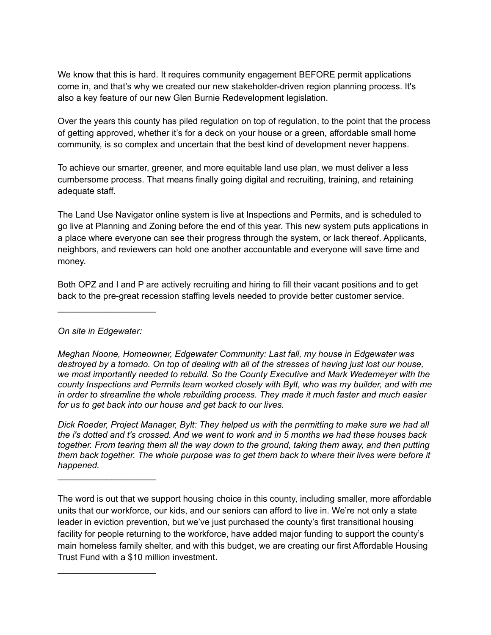We know that this is hard. It requires community engagement BEFORE permit applications come in, and that's why we created our new stakeholder-driven region planning process. It's also a key feature of our new Glen Burnie Redevelopment legislation.

Over the years this county has piled regulation on top of regulation, to the point that the process of getting approved, whether it's for a deck on your house or a green, affordable small home community, is so complex and uncertain that the best kind of development never happens.

To achieve our smarter, greener, and more equitable land use plan, we must deliver a less cumbersome process. That means finally going digital and recruiting, training, and retaining adequate staff.

The Land Use Navigator online system is live at Inspections and Permits, and is scheduled to go live at Planning and Zoning before the end of this year. This new system puts applications in a place where everyone can see their progress through the system, or lack thereof. Applicants, neighbors, and reviewers can hold one another accountable and everyone will save time and money.

Both OPZ and I and P are actively recruiting and hiring to fill their vacant positions and to get back to the pre-great recession staffing levels needed to provide better customer service.

*On site in Edgewater:*

 $\overline{\phantom{a}}$  , which is a set of the set of the set of the set of the set of the set of the set of the set of the set of the set of the set of the set of the set of the set of the set of the set of the set of the set of th

 $\overline{\phantom{a}}$  , which is a set of the set of the set of the set of the set of the set of the set of the set of the set of the set of the set of the set of the set of the set of the set of the set of the set of the set of th

 $\overline{\phantom{a}}$  , and the set of the set of the set of the set of the set of the set of the set of the set of the set of the set of the set of the set of the set of the set of the set of the set of the set of the set of the s

*Meghan Noone, Homeowner, Edgewater Community: Last fall, my house in Edgewater was* destroyed by a tornado. On top of dealing with all of the stresses of having just lost our house, *we most importantly needed to rebuild. So the County Executive and Mark Wedemeyer with the county Inspections and Permits team worked closely with Bylt, who was my builder, and with me in order to streamline the whole rebuilding process. They made it much faster and much easier for us to get back into our house and get back to our lives.*

*Dick Roeder, Project Manager, Bylt: They helped us with the permitting to make sure we had all* the i's dotted and t's crossed. And we went to work and in 5 months we had these houses back *together. From tearing them all the way down to the ground, taking them away, and then putting them back together. The whole purpose was to get them back to where their lives were before it happened.*

The word is out that we support housing choice in this county, including smaller, more affordable units that our workforce, our kids, and our seniors can afford to live in. We're not only a state leader in eviction prevention, but we've just purchased the county's first transitional housing facility for people returning to the workforce, have added major funding to support the county's main homeless family shelter, and with this budget, we are creating our first Affordable Housing Trust Fund with a \$10 million investment.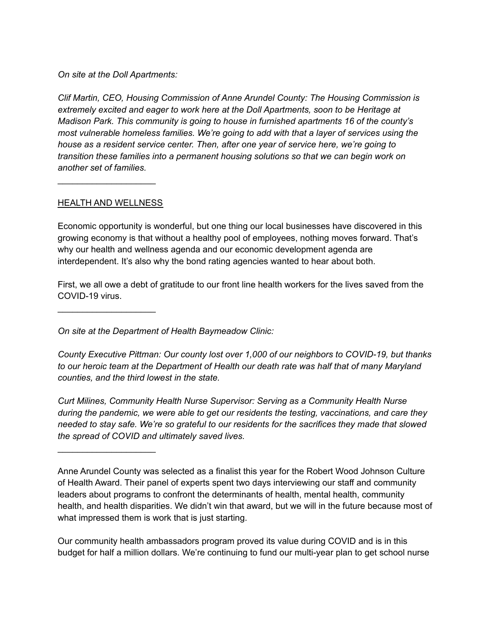*On site at the Doll Apartments:*

*Clif Martin, CEO, Housing Commission of Anne Arundel County: The Housing Commission is extremely excited and eager to work here at the Doll Apartments, soon to be Heritage at Madison Park. This community is going to house in furnished apartments 16 of the county's most vulnerable homeless families. We're going to add with that a layer of services using the house as a resident service center. Then, after one year of service here, we're going to transition these families into a permanent housing solutions so that we can begin work on another set of families.*

### HEALTH AND WELLNESS

 $\overline{\phantom{a}}$  , which is a set of the set of the set of the set of the set of the set of the set of the set of the set of the set of the set of the set of the set of the set of the set of the set of the set of the set of th

\_\_\_\_\_\_\_\_\_\_\_\_\_\_\_\_\_\_\_\_

 $\overline{\phantom{a}}$  , which is a set of the set of the set of the set of the set of the set of the set of the set of the set of the set of the set of the set of the set of the set of the set of the set of the set of the set of th

Economic opportunity is wonderful, but one thing our local businesses have discovered in this growing economy is that without a healthy pool of employees, nothing moves forward. That's why our health and wellness agenda and our economic development agenda are interdependent. It's also why the bond rating agencies wanted to hear about both.

First, we all owe a debt of gratitude to our front line health workers for the lives saved from the COVID-19 virus.

*On site at the Department of Health Baymeadow Clinic:*

*County Executive Pittman: Our county lost over 1,000 of our neighbors to COVID-19, but thanks to our heroic team at the Department of Health our death rate was half that of many Maryland counties, and the third lowest in the state.*

*Curt Milines, Community Health Nurse Supervisor: Serving as a Community Health Nurse during the pandemic, we were able to get our residents the testing, vaccinations, and care they needed to stay safe. We're so grateful to our residents for the sacrifices they made that slowed the spread of COVID and ultimately saved lives.*

Our community health ambassadors program proved its value during COVID and is in this budget for half a million dollars. We're continuing to fund our multi-year plan to get school nurse

Anne Arundel County was selected as a finalist this year for the Robert Wood Johnson Culture of Health Award. Their panel of experts spent two days interviewing our staff and community leaders about programs to confront the determinants of health, mental health, community health, and health disparities. We didn't win that award, but we will in the future because most of what impressed them is work that is just starting.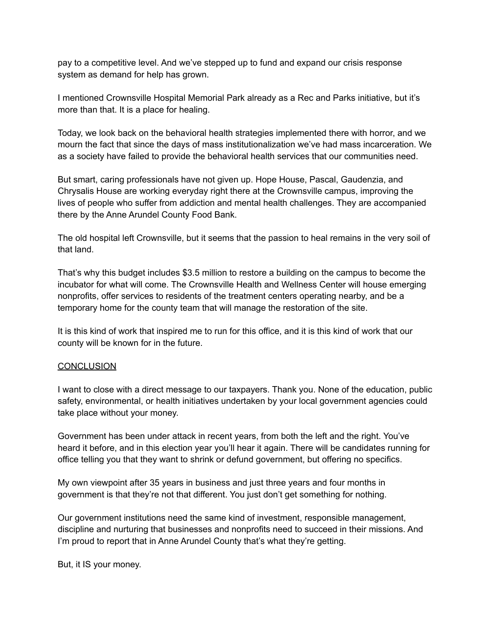pay to a competitive level. And we've stepped up to fund and expand our crisis response system as demand for help has grown.

I mentioned Crownsville Hospital Memorial Park already as a Rec and Parks initiative, but it's more than that. It is a place for healing.

Today, we look back on the behavioral health strategies implemented there with horror, and we mourn the fact that since the days of mass institutionalization we've had mass incarceration. We as a society have failed to provide the behavioral health services that our communities need.

But smart, caring professionals have not given up. Hope House, Pascal, Gaudenzia, and Chrysalis House are working everyday right there at the Crownsville campus, improving the lives of people who suffer from addiction and mental health challenges. They are accompanied there by the Anne Arundel County Food Bank.

The old hospital left Crownsville, but it seems that the passion to heal remains in the very soil of that land.

That's why this budget includes \$3.5 million to restore a building on the campus to become the incubator for what will come. The Crownsville Health and Wellness Center will house emerging nonprofits, offer services to residents of the treatment centers operating nearby, and be a temporary home for the county team that will manage the restoration of the site.

It is this kind of work that inspired me to run for this office, and it is this kind of work that our county will be known for in the future.

#### **CONCLUSION**

I want to close with a direct message to our taxpayers. Thank you. None of the education, public safety, environmental, or health initiatives undertaken by your local government agencies could take place without your money.

Government has been under attack in recent years, from both the left and the right. You've heard it before, and in this election year you'll hear it again. There will be candidates running for office telling you that they want to shrink or defund government, but offering no specifics.

My own viewpoint after 35 years in business and just three years and four months in government is that they're not that different. You just don't get something for nothing.

Our government institutions need the same kind of investment, responsible management, discipline and nurturing that businesses and nonprofits need to succeed in their missions. And I'm proud to report that in Anne Arundel County that's what they're getting.

But, it IS your money.